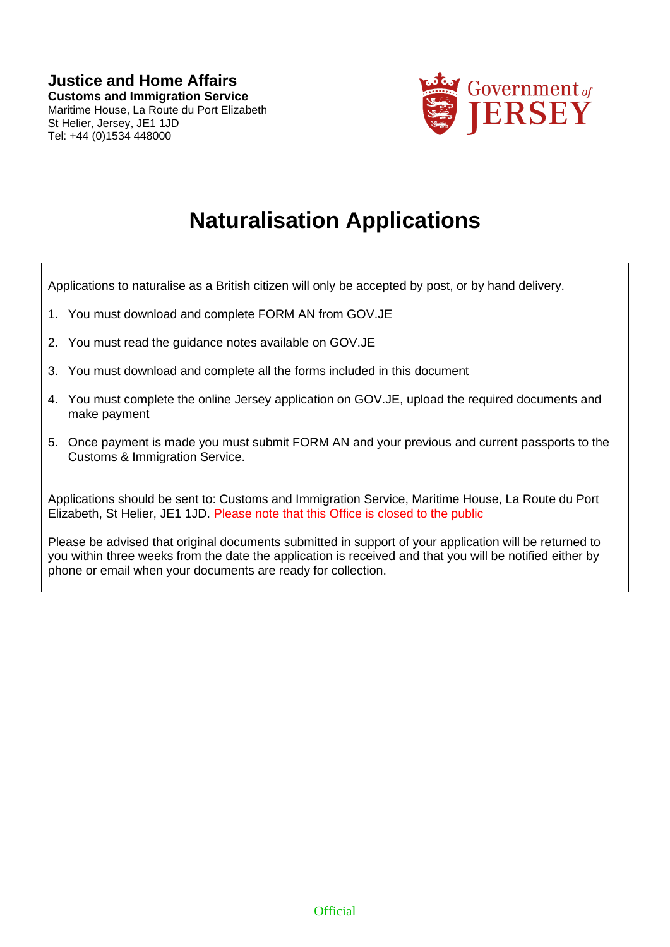

# **Naturalisation Applications**

Applications to naturalise as a British citizen will only be accepted by post, or by hand delivery.

- 1. You must download and complete FORM AN from GOV.JE
- 2. You must read the guidance notes available on GOV.JE
- 3. You must download and complete all the forms included in this document
- 4. You must complete the online Jersey application on GOV.JE, upload the required documents and make payment
- 5. Once payment is made you must submit FORM AN and your previous and current passports to the Customs & Immigration Service.

Applications should be sent to: Customs and Immigration Service, Maritime House, La Route du Port Elizabeth, St Helier, JE1 1JD. Please note that this Office is closed to the public

Please be advised that original documents submitted in support of your application will be returned to you within three weeks from the date the application is received and that you will be notified either by phone or email when your documents are ready for collection.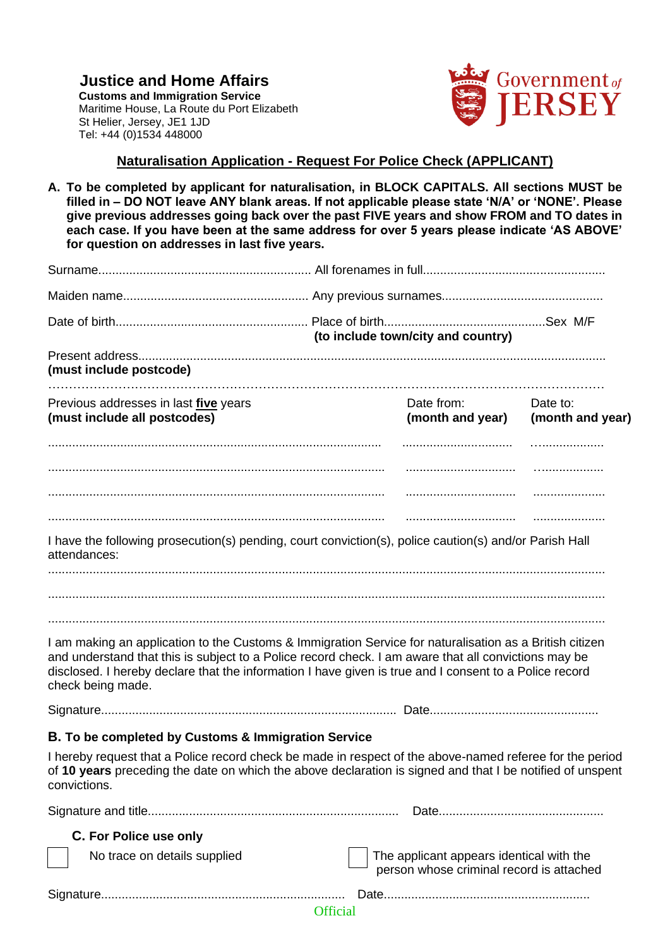**Justice and Home Affairs Customs and Immigration Service** Maritime House, La Route du Port Elizabeth St Helier, Jersey, JE1 1JD Tel: +44 (0)1534 448000



## **Naturalisation Application - Request For Police Check (APPLICANT)**

**A. To be completed by applicant for naturalisation, in BLOCK CAPITALS. All sections MUST be filled in – DO NOT leave ANY blank areas. If not applicable please state 'N/A' or 'NONE'. Please give previous addresses going back over the past FIVE years and show FROM and TO dates in each case. If you have been at the same address for over 5 years please indicate 'AS ABOVE' for question on addresses in last five years.**

|                                                                              | (to include town/city and country)                                                                                                                                                                                                                                                                                        |                              |  |  |
|------------------------------------------------------------------------------|---------------------------------------------------------------------------------------------------------------------------------------------------------------------------------------------------------------------------------------------------------------------------------------------------------------------------|------------------------------|--|--|
| (must include postcode)                                                      |                                                                                                                                                                                                                                                                                                                           |                              |  |  |
| Previous addresses in last <i>five</i> years<br>(must include all postcodes) | Date from:<br>(month and year)                                                                                                                                                                                                                                                                                            | Date to:<br>(month and year) |  |  |
|                                                                              |                                                                                                                                                                                                                                                                                                                           | .                            |  |  |
| attendances:                                                                 | I have the following prosecution(s) pending, court conviction(s), police caution(s) and/or Parish Hall                                                                                                                                                                                                                    |                              |  |  |
| check being made.                                                            | I am making an application to the Customs & Immigration Service for naturalisation as a British citizen<br>and understand that this is subject to a Police record check. I am aware that all convictions may be<br>disclosed. I hereby declare that the information I have given is true and I consent to a Police record |                              |  |  |
|                                                                              |                                                                                                                                                                                                                                                                                                                           |                              |  |  |
| B. To be completed by Customs & Immigration Service<br>convictions.          | I hereby request that a Police record check be made in respect of the above-named referee for the period<br>of 10 years preceding the date on which the above declaration is signed and that I be notified of unspent                                                                                                     |                              |  |  |
|                                                                              |                                                                                                                                                                                                                                                                                                                           |                              |  |  |
| C. For Police use only                                                       |                                                                                                                                                                                                                                                                                                                           |                              |  |  |
| No trace on details supplied                                                 | The applicant appears identical with the<br>person whose criminal record is attached                                                                                                                                                                                                                                      |                              |  |  |
|                                                                              |                                                                                                                                                                                                                                                                                                                           |                              |  |  |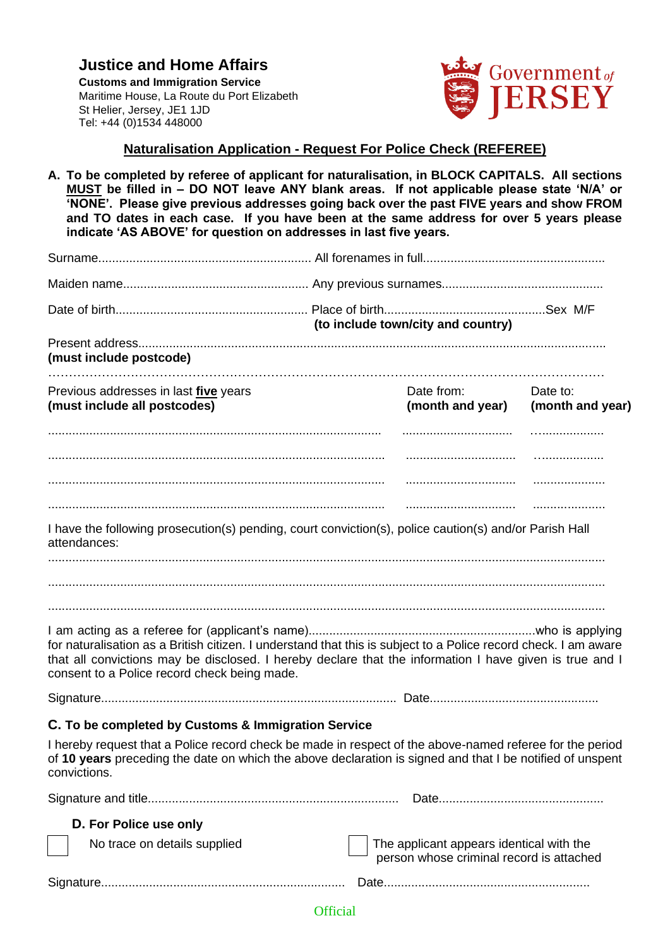**Justice and Home Affairs Customs and Immigration Service** Maritime House, La Route du Port Elizabeth St Helier, Jersey, JE1 1JD Tel: +44 (0)1534 448000



### **Naturalisation Application - Request For Police Check (REFEREE)**

**A. To be completed by referee of applicant for naturalisation, in BLOCK CAPITALS. All sections MUST be filled in – DO NOT leave ANY blank areas. If not applicable please state 'N/A' or 'NONE'. Please give previous addresses going back over the past FIVE years and show FROM and TO dates in each case. If you have been at the same address for over 5 years please indicate 'AS ABOVE' for question on addresses in last five years.**

|                                                                                                                                                                                                                                                                            | (to include town/city and country) |                                                                                      |                              |
|----------------------------------------------------------------------------------------------------------------------------------------------------------------------------------------------------------------------------------------------------------------------------|------------------------------------|--------------------------------------------------------------------------------------|------------------------------|
| (must include postcode)                                                                                                                                                                                                                                                    |                                    |                                                                                      |                              |
| Previous addresses in last <i>five</i> years<br>(must include all postcodes)                                                                                                                                                                                               |                                    | Date from:<br>(month and year)                                                       | Date to:<br>(month and year) |
|                                                                                                                                                                                                                                                                            |                                    |                                                                                      |                              |
|                                                                                                                                                                                                                                                                            |                                    |                                                                                      | .                            |
|                                                                                                                                                                                                                                                                            |                                    |                                                                                      |                              |
| I have the following prosecution(s) pending, court conviction(s), police caution(s) and/or Parish Hall<br>attendances:                                                                                                                                                     |                                    |                                                                                      |                              |
| for naturalisation as a British citizen. I understand that this is subject to a Police record check. I am aware<br>that all convictions may be disclosed. I hereby declare that the information I have given is true and I<br>consent to a Police record check being made. |                                    |                                                                                      |                              |
|                                                                                                                                                                                                                                                                            |                                    |                                                                                      |                              |
| C. To be completed by Customs & Immigration Service                                                                                                                                                                                                                        |                                    |                                                                                      |                              |
| I hereby request that a Police record check be made in respect of the above-named referee for the period<br>of 10 years preceding the date on which the above declaration is signed and that I be notified of unspent<br>convictions.                                      |                                    |                                                                                      |                              |
|                                                                                                                                                                                                                                                                            |                                    |                                                                                      |                              |
| D. For Police use only                                                                                                                                                                                                                                                     |                                    |                                                                                      |                              |
| No trace on details supplied                                                                                                                                                                                                                                               |                                    | The applicant appears identical with the<br>person whose criminal record is attached |                              |
|                                                                                                                                                                                                                                                                            |                                    |                                                                                      |                              |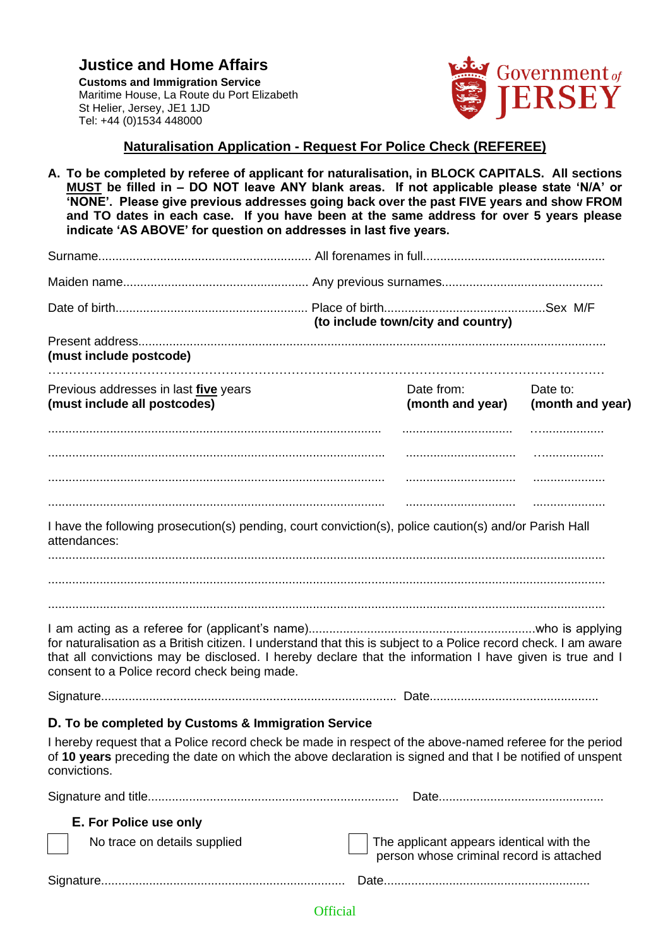**Justice and Home Affairs Customs and Immigration Service** Maritime House, La Route du Port Elizabeth St Helier, Jersey, JE1 1JD Tel: +44 (0)1534 448000



## **Naturalisation Application - Request For Police Check (REFEREE)**

**A. To be completed by referee of applicant for naturalisation, in BLOCK CAPITALS. All sections MUST be filled in – DO NOT leave ANY blank areas. If not applicable please state 'N/A' or 'NONE'. Please give previous addresses going back over the past FIVE years and show FROM and TO dates in each case. If you have been at the same address for over 5 years please indicate 'AS ABOVE' for question on addresses in last five years.**

|                                                                                                                                                                                                                                                                            | (to include town/city and country)                                                   |                              |  |
|----------------------------------------------------------------------------------------------------------------------------------------------------------------------------------------------------------------------------------------------------------------------------|--------------------------------------------------------------------------------------|------------------------------|--|
| (must include postcode)                                                                                                                                                                                                                                                    |                                                                                      |                              |  |
| Previous addresses in last <i>five</i> years<br>(must include all postcodes)                                                                                                                                                                                               | Date from:<br>(month and year)                                                       | Date to:<br>(month and year) |  |
|                                                                                                                                                                                                                                                                            |                                                                                      |                              |  |
|                                                                                                                                                                                                                                                                            |                                                                                      | .                            |  |
|                                                                                                                                                                                                                                                                            |                                                                                      |                              |  |
| I have the following prosecution(s) pending, court conviction(s), police caution(s) and/or Parish Hall<br>attendances:                                                                                                                                                     |                                                                                      |                              |  |
|                                                                                                                                                                                                                                                                            |                                                                                      |                              |  |
| for naturalisation as a British citizen. I understand that this is subject to a Police record check. I am aware<br>that all convictions may be disclosed. I hereby declare that the information I have given is true and I<br>consent to a Police record check being made. |                                                                                      |                              |  |
|                                                                                                                                                                                                                                                                            |                                                                                      |                              |  |
| D. To be completed by Customs & Immigration Service                                                                                                                                                                                                                        |                                                                                      |                              |  |
| I hereby request that a Police record check be made in respect of the above-named referee for the period<br>of 10 years preceding the date on which the above declaration is signed and that I be notified of unspent<br>convictions.                                      |                                                                                      |                              |  |
|                                                                                                                                                                                                                                                                            |                                                                                      |                              |  |
| E. For Police use only                                                                                                                                                                                                                                                     |                                                                                      |                              |  |
| No trace on details supplied                                                                                                                                                                                                                                               | The applicant appears identical with the<br>person whose criminal record is attached |                              |  |
|                                                                                                                                                                                                                                                                            |                                                                                      |                              |  |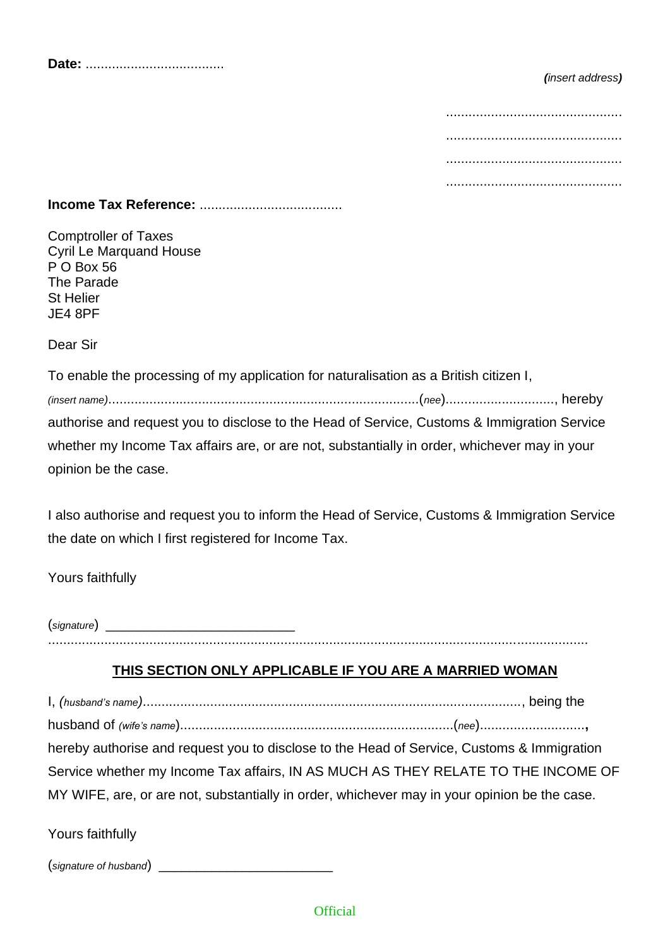|--|--|--|--|--|

### *(insert address)*

## **Income Tax Reference:** ......................................

Comptroller of Taxes Cyril Le Marquand House P O Box 56 The Parade St Helier JE4 8PF

Dear Sir

To enable the processing of my application for naturalisation as a British citizen I, *(insert name)*...................................................................................(*nee*)............................., hereby authorise and request you to disclose to the Head of Service, Customs & Immigration Service whether my Income Tax affairs are, or are not, substantially in order, whichever may in your opinion be the case.

I also authorise and request you to inform the Head of Service, Customs & Immigration Service the date on which I first registered for Income Tax.

Yours faithfully

(*signature*) \_\_\_\_\_\_\_\_\_\_\_\_\_\_\_\_\_\_\_\_\_\_\_\_\_ ................................................................................................................................................

## **THIS SECTION ONLY APPLICABLE IF YOU ARE A MARRIED WOMAN**

I, *(husband's name)*....................................................................................................., being the husband of *(wife's name*).........................................................................(*nee*)............................**,** hereby authorise and request you to disclose to the Head of Service, Customs & Immigration Service whether my Income Tax affairs, IN AS MUCH AS THEY RELATE TO THE INCOME OF MY WIFE, are, or are not, substantially in order, whichever may in your opinion be the case.

Yours faithfully

(*signature of husband*) \_\_\_\_\_\_\_\_\_\_\_\_\_\_\_\_\_\_\_\_\_\_\_